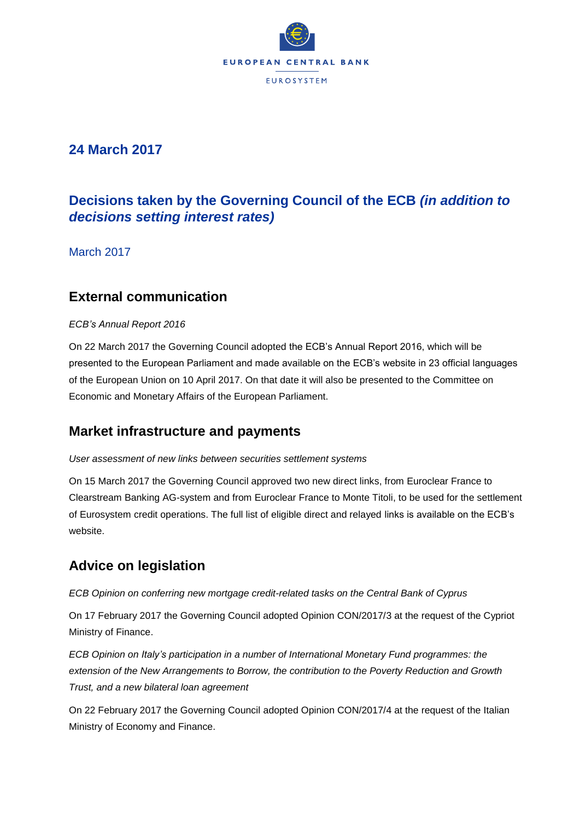

## **24 March 2017**

# **Decisions taken by the Governing Council of the ECB** *(in addition to decisions setting interest rates)*

March 2017

### **External communication**

### *ECB's Annual Report 2016*

On 22 March 2017 the Governing Council adopted the ECB's Annual Report 2016, which will be presented to the European Parliament and made available on the ECB's website in 23 official languages of the European Union on 10 April 2017. On that date it will also be presented to the Committee on Economic and Monetary Affairs of the European Parliament.

## **Market infrastructure and payments**

### *User assessment of new links between securities settlement systems*

On 15 March 2017 the Governing Council approved two new direct links, from Euroclear France to Clearstream Banking AG-system and from Euroclear France to Monte Titoli, to be used for the settlement of Eurosystem credit operations. The full list of eligible direct and relayed links is available on the ECB's website.

## **Advice on legislation**

### *ECB Opinion on conferring new mortgage credit-related tasks on the Central Bank of Cyprus*

On 17 February 2017 the Governing Council adopted Opinion CON/2017/3 at the request of the Cypriot Ministry of Finance.

*ECB Opinion on Italy's participation in a number of International Monetary Fund programmes: the extension of the New Arrangements to Borrow, the contribution to the Poverty Reduction and Growth Trust, and a new bilateral loan agreement*

On 22 February 2017 the Governing Council adopted Opinion CON/2017/4 at the request of the Italian Ministry of Economy and Finance.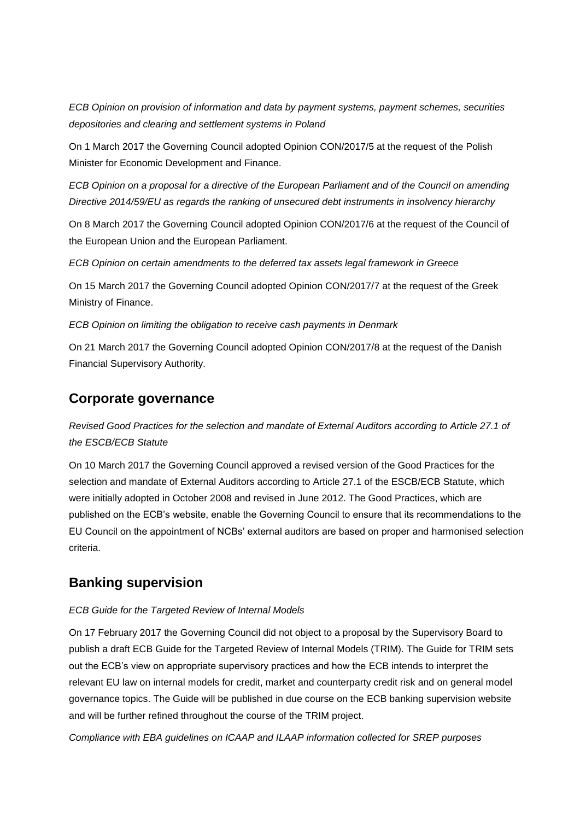*ECB Opinion on provision of information and data by payment systems, payment schemes, securities depositories and clearing and settlement systems in Poland*

On 1 March 2017 the Governing Council adopted Opinion CON/2017/5 at the request of the Polish Minister for Economic Development and Finance.

*ECB Opinion on a proposal for a directive of the European Parliament and of the Council on amending Directive 2014/59/EU as regards the ranking of unsecured debt instruments in insolvency hierarchy*

On 8 March 2017 the Governing Council adopted Opinion CON/2017/6 at the request of the Council of the European Union and the European Parliament.

*ECB Opinion on certain amendments to the deferred tax assets legal framework in Greece*

On 15 March 2017 the Governing Council adopted Opinion CON/2017/7 at the request of the Greek Ministry of Finance.

*ECB Opinion on limiting the obligation to receive cash payments in Denmark*

On 21 March 2017 the Governing Council adopted Opinion CON/2017/8 at the request of the Danish Financial Supervisory Authority.

### **Corporate governance**

*Revised Good Practices for the selection and mandate of External Auditors according to Article 27.1 of the ESCB/ECB Statute*

On 10 March 2017 the Governing Council approved a revised version of the Good Practices for the selection and mandate of External Auditors according to Article 27.1 of the ESCB/ECB Statute, which were initially adopted in October 2008 and revised in June 2012. The Good Practices, which are published on the ECB's website, enable the Governing Council to ensure that its recommendations to the EU Council on the appointment of NCBs' external auditors are based on proper and harmonised selection criteria.

## **Banking supervision**

### *ECB Guide for the Targeted Review of Internal Models*

On 17 February 2017 the Governing Council did not object to a proposal by the Supervisory Board to publish a draft ECB Guide for the Targeted Review of Internal Models (TRIM). The Guide for TRIM sets out the ECB's view on appropriate supervisory practices and how the ECB intends to interpret the relevant EU law on internal models for credit, market and counterparty credit risk and on general model governance topics. The Guide will be published in due course on the ECB banking supervision website and will be further refined throughout the course of the TRIM project.

*Compliance with EBA guidelines on ICAAP and ILAAP information collected for SREP purposes*